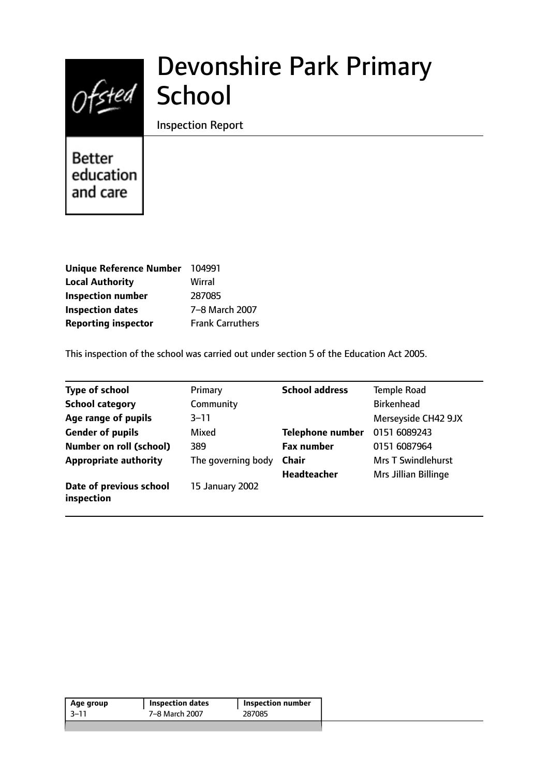

# Devonshire Park Primary

Inspection Report

**Better** education and care

| Unique Reference Number 104991 |                         |
|--------------------------------|-------------------------|
| <b>Local Authority</b>         | Wirral                  |
| <b>Inspection number</b>       | 287085                  |
| <b>Inspection dates</b>        | 7-8 March 2007          |
| <b>Reporting inspector</b>     | <b>Frank Carruthers</b> |

This inspection of the school was carried out under section 5 of the Education Act 2005.

| <b>Type of school</b>                 | Primary            | <b>School address</b>   | <b>Temple Road</b>          |
|---------------------------------------|--------------------|-------------------------|-----------------------------|
| <b>School category</b>                | Community          |                         | <b>Birkenhead</b>           |
| Age range of pupils                   | $3 - 11$           |                         | Merseyside CH42 9JX         |
| <b>Gender of pupils</b>               | Mixed              | <b>Telephone number</b> | 0151 6089243                |
| <b>Number on roll (school)</b>        | 389                | <b>Fax number</b>       | 0151 6087964                |
| <b>Appropriate authority</b>          | The governing body | <b>Chair</b>            | <b>Mrs T Swindlehurst</b>   |
|                                       |                    | <b>Headteacher</b>      | <b>Mrs Jillian Billinge</b> |
| Date of previous school<br>inspection | 15 January 2002    |                         |                             |

| 7–8 March 2007<br>287085 | Age group | Inspection dates | Inspection number |
|--------------------------|-----------|------------------|-------------------|
|                          | 3–11      |                  |                   |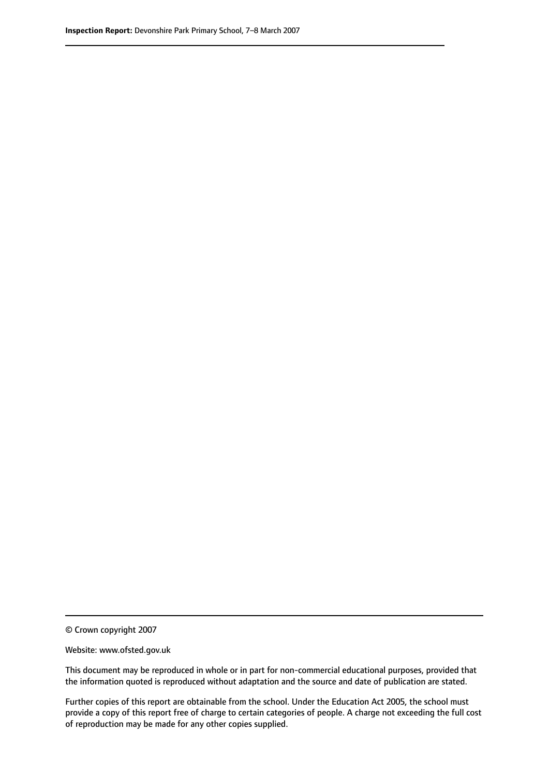© Crown copyright 2007

Website: www.ofsted.gov.uk

This document may be reproduced in whole or in part for non-commercial educational purposes, provided that the information quoted is reproduced without adaptation and the source and date of publication are stated.

Further copies of this report are obtainable from the school. Under the Education Act 2005, the school must provide a copy of this report free of charge to certain categories of people. A charge not exceeding the full cost of reproduction may be made for any other copies supplied.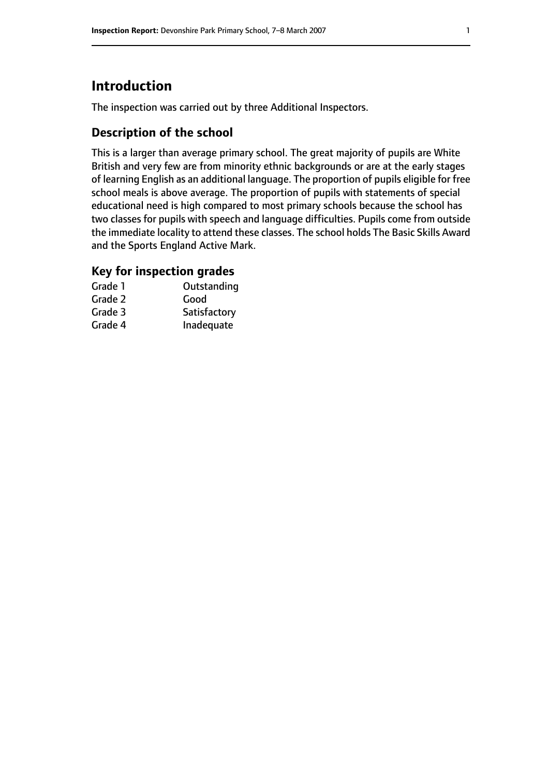# **Introduction**

The inspection was carried out by three Additional Inspectors.

## **Description of the school**

This is a larger than average primary school. The great majority of pupils are White British and very few are from minority ethnic backgrounds or are at the early stages of learning English as an additional language. The proportion of pupils eligible for free school meals is above average. The proportion of pupils with statements of special educational need is high compared to most primary schools because the school has two classes for pupils with speech and language difficulties. Pupils come from outside the immediate locality to attend these classes. The school holds The Basic Skills Award and the Sports England Active Mark.

## **Key for inspection grades**

| Grade 1 | Outstanding  |
|---------|--------------|
| Grade 2 | Good         |
| Grade 3 | Satisfactory |
| Grade 4 | Inadequate   |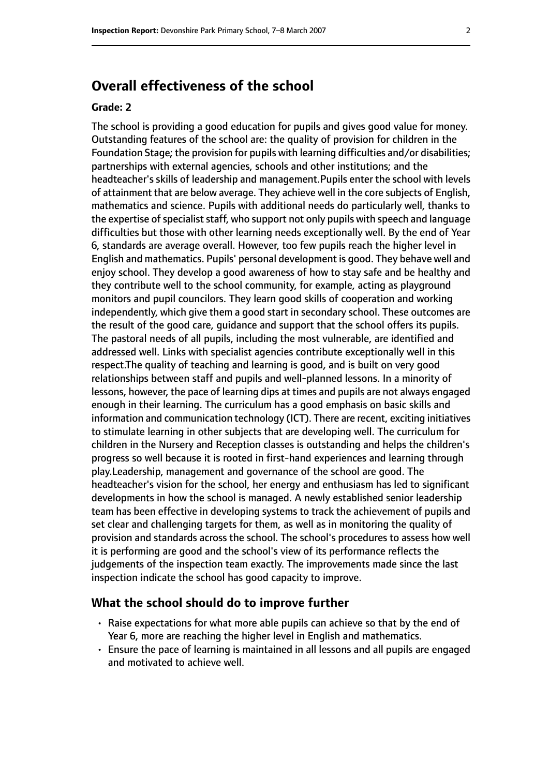# **Overall effectiveness of the school**

#### **Grade: 2**

The school is providing a good education for pupils and gives good value for money. Outstanding features of the school are: the quality of provision for children in the Foundation Stage; the provision for pupils with learning difficulties and/or disabilities; partnerships with external agencies, schools and other institutions; and the headteacher's skills of leadership and management.Pupils enter the school with levels of attainment that are below average. They achieve well in the core subjects of English, mathematics and science. Pupils with additional needs do particularly well, thanks to the expertise of specialist staff, who support not only pupils with speech and language difficulties but those with other learning needs exceptionally well. By the end of Year 6, standards are average overall. However, too few pupils reach the higher level in English and mathematics. Pupils' personal development is good. They behave well and enjoy school. They develop a good awareness of how to stay safe and be healthy and they contribute well to the school community, for example, acting as playground monitors and pupil councilors. They learn good skills of cooperation and working independently, which give them a good start in secondary school. These outcomes are the result of the good care, guidance and support that the school offers its pupils. The pastoral needs of all pupils, including the most vulnerable, are identified and addressed well. Links with specialist agencies contribute exceptionally well in this respect.The quality of teaching and learning is good, and is built on very good relationships between staff and pupils and well-planned lessons. In a minority of lessons, however, the pace of learning dips at times and pupils are not always engaged enough in their learning. The curriculum has a good emphasis on basic skills and information and communication technology (ICT). There are recent, exciting initiatives to stimulate learning in other subjects that are developing well. The curriculum for children in the Nursery and Reception classes is outstanding and helps the children's progress so well because it is rooted in first-hand experiences and learning through play.Leadership, management and governance of the school are good. The headteacher's vision for the school, her energy and enthusiasm has led to significant developments in how the school is managed. A newly established senior leadership team has been effective in developing systems to track the achievement of pupils and set clear and challenging targets for them, as well as in monitoring the quality of provision and standards across the school. The school's procedures to assess how well it is performing are good and the school's view of its performance reflects the judgements of the inspection team exactly. The improvements made since the last inspection indicate the school has good capacity to improve.

#### **What the school should do to improve further**

- Raise expectations for what more able pupils can achieve so that by the end of Year 6, more are reaching the higher level in English and mathematics.
- Ensure the pace of learning is maintained in all lessons and all pupils are engaged and motivated to achieve well.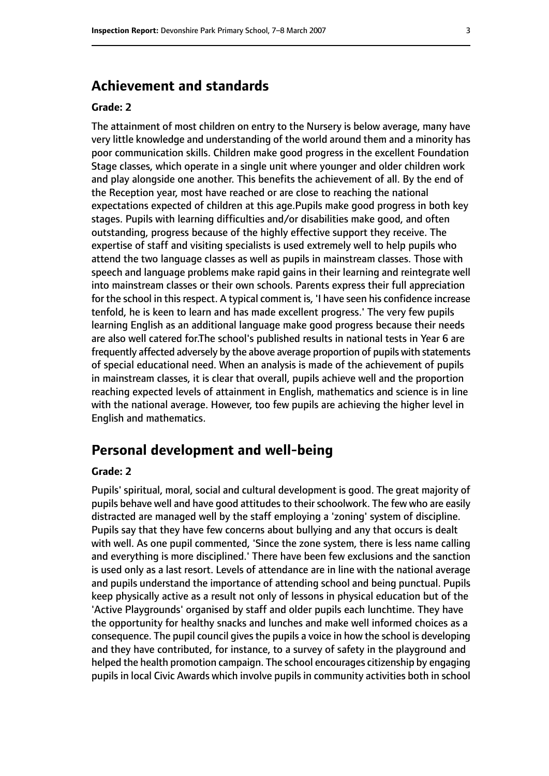# **Achievement and standards**

#### **Grade: 2**

The attainment of most children on entry to the Nursery is below average, many have very little knowledge and understanding of the world around them and a minority has poor communication skills. Children make good progress in the excellent Foundation Stage classes, which operate in a single unit where younger and older children work and play alongside one another. This benefits the achievement of all. By the end of the Reception year, most have reached or are close to reaching the national expectations expected of children at this age.Pupils make good progress in both key stages. Pupils with learning difficulties and/or disabilities make good, and often outstanding, progress because of the highly effective support they receive. The expertise of staff and visiting specialists is used extremely well to help pupils who attend the two language classes as well as pupils in mainstream classes. Those with speech and language problems make rapid gains in their learning and reintegrate well into mainstream classes or their own schools. Parents express their full appreciation for the school in this respect. A typical comment is, 'I have seen his confidence increase tenfold, he is keen to learn and has made excellent progress.' The very few pupils learning English as an additional language make good progress because their needs are also well catered for.The school's published results in national tests in Year 6 are frequently affected adversely by the above average proportion of pupils with statements of special educational need. When an analysis is made of the achievement of pupils in mainstream classes, it is clear that overall, pupils achieve well and the proportion reaching expected levels of attainment in English, mathematics and science is in line with the national average. However, too few pupils are achieving the higher level in English and mathematics.

# **Personal development and well-being**

#### **Grade: 2**

Pupils' spiritual, moral, social and cultural development is good. The great majority of pupils behave well and have good attitudes to their schoolwork. The few who are easily distracted are managed well by the staff employing a 'zoning' system of discipline. Pupils say that they have few concerns about bullying and any that occurs is dealt with well. As one pupil commented, 'Since the zone system, there is less name calling and everything is more disciplined.' There have been few exclusions and the sanction is used only as a last resort. Levels of attendance are in line with the national average and pupils understand the importance of attending school and being punctual. Pupils keep physically active as a result not only of lessons in physical education but of the 'Active Playgrounds' organised by staff and older pupils each lunchtime. They have the opportunity for healthy snacks and lunches and make well informed choices as a consequence. The pupil council gives the pupils a voice in how the school is developing and they have contributed, for instance, to a survey of safety in the playground and helped the health promotion campaign. The school encourages citizenship by engaging pupils in local Civic Awards which involve pupils in community activities both in school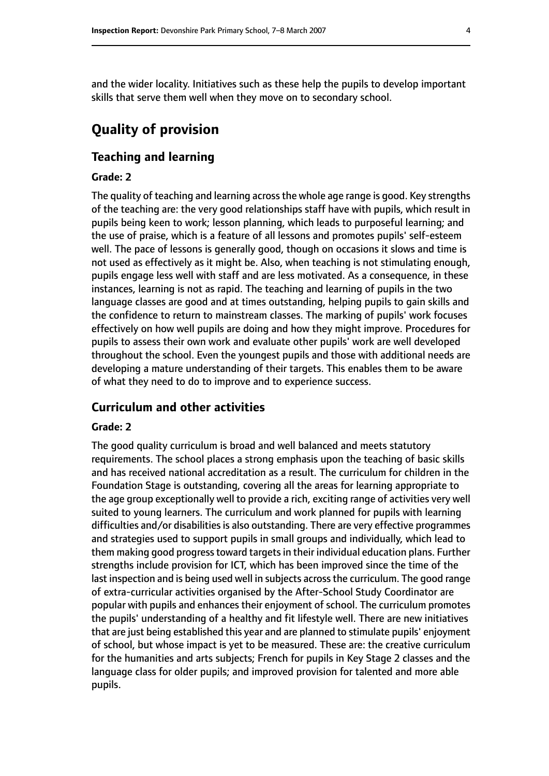and the wider locality. Initiatives such as these help the pupils to develop important skills that serve them well when they move on to secondary school.

# **Quality of provision**

## **Teaching and learning**

#### **Grade: 2**

The quality of teaching and learning acrossthe whole age range is good. Key strengths of the teaching are: the very good relationships staff have with pupils, which result in pupils being keen to work; lesson planning, which leads to purposeful learning; and the use of praise, which is a feature of all lessons and promotes pupils' self-esteem well. The pace of lessons is generally good, though on occasions it slows and time is not used as effectively as it might be. Also, when teaching is not stimulating enough, pupils engage less well with staff and are less motivated. As a consequence, in these instances, learning is not as rapid. The teaching and learning of pupils in the two language classes are good and at times outstanding, helping pupils to gain skills and the confidence to return to mainstream classes. The marking of pupils' work focuses effectively on how well pupils are doing and how they might improve. Procedures for pupils to assess their own work and evaluate other pupils' work are well developed throughout the school. Even the youngest pupils and those with additional needs are developing a mature understanding of their targets. This enables them to be aware of what they need to do to improve and to experience success.

#### **Curriculum and other activities**

#### **Grade: 2**

The good quality curriculum is broad and well balanced and meets statutory requirements. The school places a strong emphasis upon the teaching of basic skills and has received national accreditation as a result. The curriculum for children in the Foundation Stage is outstanding, covering all the areas for learning appropriate to the age group exceptionally well to provide a rich, exciting range of activities very well suited to young learners. The curriculum and work planned for pupils with learning difficulties and/or disabilities is also outstanding. There are very effective programmes and strategies used to support pupils in small groups and individually, which lead to them making good progress toward targets in their individual education plans. Further strengths include provision for ICT, which has been improved since the time of the last inspection and is being used well in subjects across the curriculum. The good range of extra-curricular activities organised by the After-School Study Coordinator are popular with pupils and enhances their enjoyment of school. The curriculum promotes the pupils' understanding of a healthy and fit lifestyle well. There are new initiatives that are just being established this year and are planned to stimulate pupils' enjoyment of school, but whose impact is yet to be measured. These are: the creative curriculum for the humanities and arts subjects; French for pupils in Key Stage 2 classes and the language class for older pupils; and improved provision for talented and more able pupils.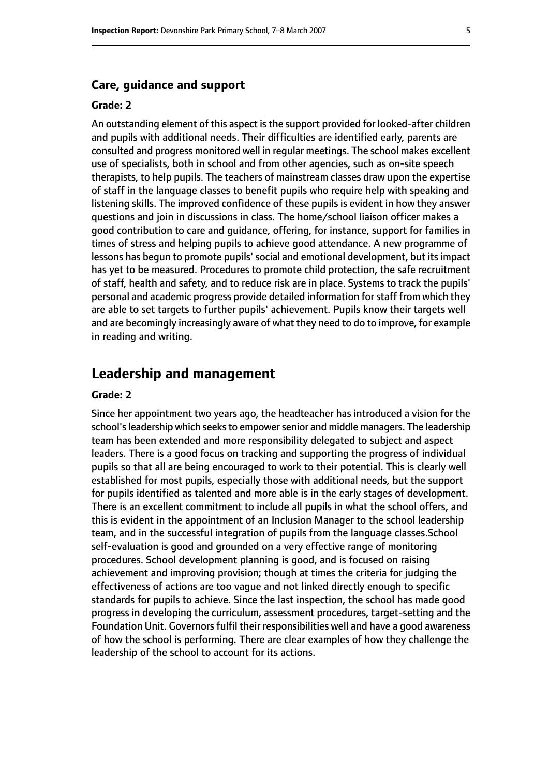## **Care, guidance and support**

#### **Grade: 2**

An outstanding element of this aspect isthe support provided for looked-after children and pupils with additional needs. Their difficulties are identified early, parents are consulted and progress monitored well in regular meetings. The school makes excellent use of specialists, both in school and from other agencies, such as on-site speech therapists, to help pupils. The teachers of mainstream classes draw upon the expertise of staff in the language classes to benefit pupils who require help with speaking and listening skills. The improved confidence of these pupils is evident in how they answer questions and join in discussions in class. The home/school liaison officer makes a good contribution to care and guidance, offering, for instance, support for families in times of stress and helping pupils to achieve good attendance. A new programme of lessons has begun to promote pupils'social and emotional development, but itsimpact has yet to be measured. Procedures to promote child protection, the safe recruitment of staff, health and safety, and to reduce risk are in place. Systems to track the pupils' personal and academic progress provide detailed information forstaff from which they are able to set targets to further pupils' achievement. Pupils know their targets well and are becomingly increasingly aware of what they need to do to improve, for example in reading and writing.

## **Leadership and management**

#### **Grade: 2**

Since her appointment two years ago, the headteacher has introduced a vision for the school's leadership which seeks to empower senior and middle managers. The leadership team has been extended and more responsibility delegated to subject and aspect leaders. There is a good focus on tracking and supporting the progress of individual pupils so that all are being encouraged to work to their potential. This is clearly well established for most pupils, especially those with additional needs, but the support for pupils identified as talented and more able is in the early stages of development. There is an excellent commitment to include all pupils in what the school offers, and this is evident in the appointment of an Inclusion Manager to the school leadership team, and in the successful integration of pupils from the language classes.School self-evaluation is good and grounded on a very effective range of monitoring procedures. School development planning is good, and is focused on raising achievement and improving provision; though at times the criteria for judging the effectiveness of actions are too vague and not linked directly enough to specific standards for pupils to achieve. Since the last inspection, the school has made good progress in developing the curriculum, assessment procedures, target-setting and the Foundation Unit. Governors fulfil their responsibilities well and have a good awareness of how the school is performing. There are clear examples of how they challenge the leadership of the school to account for its actions.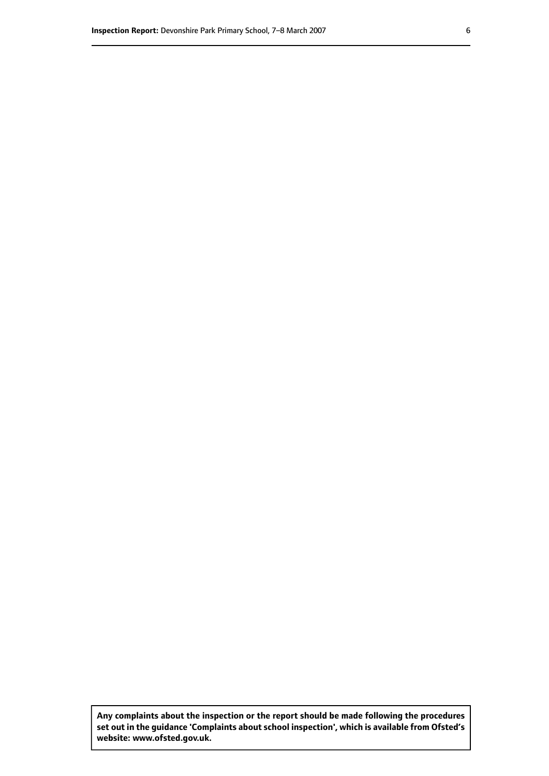**Any complaints about the inspection or the report should be made following the procedures set out inthe guidance 'Complaints about school inspection', whichis available from Ofsted's website: www.ofsted.gov.uk.**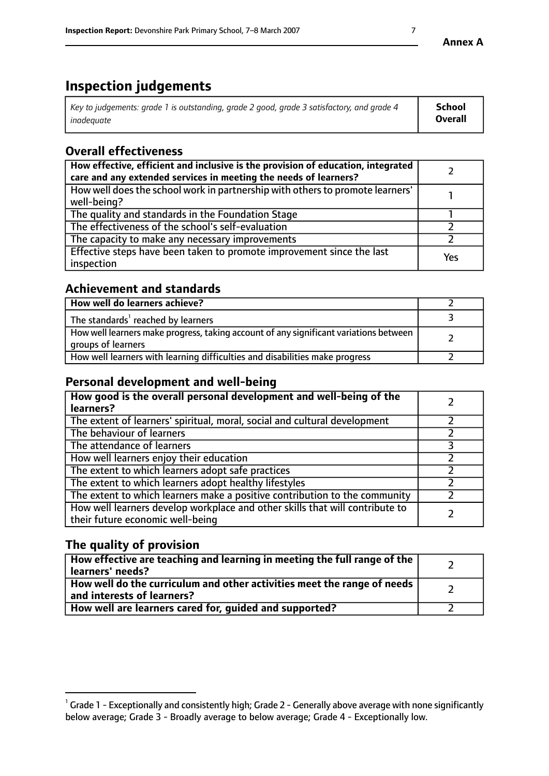# **Inspection judgements**

| Key to judgements: grade 1 is outstanding, grade 2 good, grade 3 satisfactory, and grade 4 | School         |
|--------------------------------------------------------------------------------------------|----------------|
| inadeauate                                                                                 | <b>Overall</b> |

# **Overall effectiveness**

| How effective, efficient and inclusive is the provision of education, integrated<br>care and any extended services in meeting the needs of learners? |     |
|------------------------------------------------------------------------------------------------------------------------------------------------------|-----|
| How well does the school work in partnership with others to promote learners'<br>well-being?                                                         |     |
| The quality and standards in the Foundation Stage                                                                                                    |     |
| The effectiveness of the school's self-evaluation                                                                                                    |     |
| The capacity to make any necessary improvements                                                                                                      |     |
| Effective steps have been taken to promote improvement since the last<br>inspection                                                                  | Yes |

## **Achievement and standards**

| How well do learners achieve?                                                                               |  |
|-------------------------------------------------------------------------------------------------------------|--|
| The standards <sup>1</sup> reached by learners                                                              |  |
| How well learners make progress, taking account of any significant variations between<br>groups of learners |  |
| How well learners with learning difficulties and disabilities make progress                                 |  |

# **Personal development and well-being**

| How good is the overall personal development and well-being of the<br>learners?                                  |  |
|------------------------------------------------------------------------------------------------------------------|--|
| The extent of learners' spiritual, moral, social and cultural development                                        |  |
| The behaviour of learners                                                                                        |  |
| The attendance of learners                                                                                       |  |
| How well learners enjoy their education                                                                          |  |
| The extent to which learners adopt safe practices                                                                |  |
| The extent to which learners adopt healthy lifestyles                                                            |  |
| The extent to which learners make a positive contribution to the community                                       |  |
| How well learners develop workplace and other skills that will contribute to<br>their future economic well-being |  |

# **The quality of provision**

| How effective are teaching and learning in meeting the full range of the<br>  learners' needs?                      |  |
|---------------------------------------------------------------------------------------------------------------------|--|
| $\mid$ How well do the curriculum and other activities meet the range of needs<br>$\mid$ and interests of learners? |  |
| How well are learners cared for, guided and supported?                                                              |  |

 $^1$  Grade 1 - Exceptionally and consistently high; Grade 2 - Generally above average with none significantly below average; Grade 3 - Broadly average to below average; Grade 4 - Exceptionally low.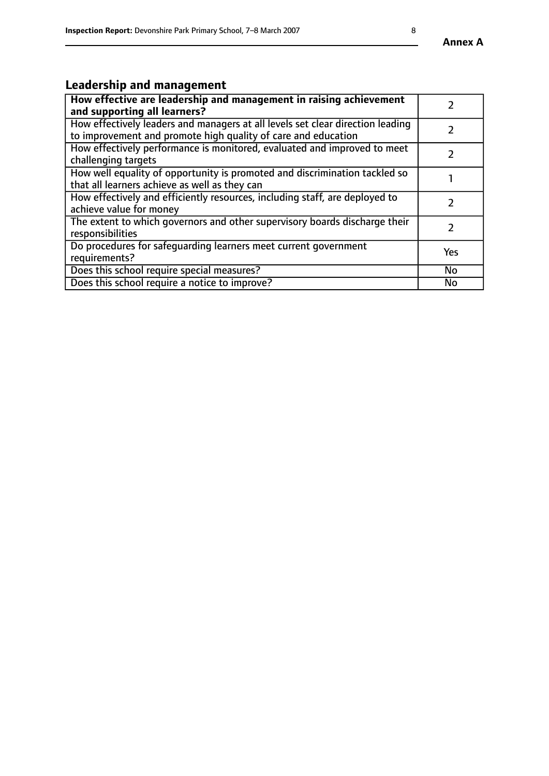# **Leadership and management**

| How effective are leadership and management in raising achievement<br>and supporting all learners?                                              |               |
|-------------------------------------------------------------------------------------------------------------------------------------------------|---------------|
| How effectively leaders and managers at all levels set clear direction leading<br>to improvement and promote high quality of care and education |               |
| How effectively performance is monitored, evaluated and improved to meet<br>challenging targets                                                 |               |
| How well equality of opportunity is promoted and discrimination tackled so<br>that all learners achieve as well as they can                     |               |
| How effectively and efficiently resources, including staff, are deployed to<br>achieve value for money                                          | $\mathcal{P}$ |
| The extent to which governors and other supervisory boards discharge their<br>responsibilities                                                  |               |
| Do procedures for safequarding learners meet current government<br>requirements?                                                                | Yes           |
| Does this school require special measures?                                                                                                      | No            |
| Does this school require a notice to improve?                                                                                                   | <b>No</b>     |